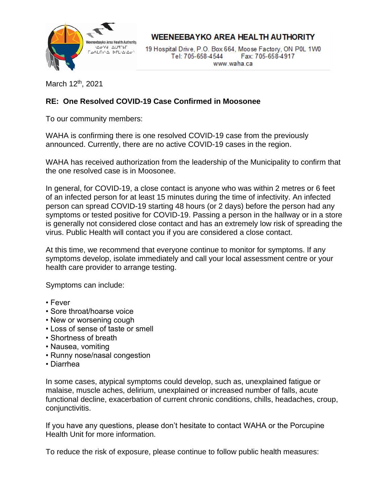

**WEENEEBAYKO AREA HEALTH AUTHORITY** 

19 Hospital Drive, P.O. Box 664, Moose Factory, ON P0L 1W0 Tel: 705-658-4544 Fax: 705-658-4917 www.waha.ca

March 12<sup>th</sup>, 2021

## **RE: One Resolved COVID-19 Case Confirmed in Moosonee**

To our community members:

WAHA is confirming there is one resolved COVID-19 case from the previously announced. Currently, there are no active COVID-19 cases in the region.

WAHA has received authorization from the leadership of the Municipality to confirm that the one resolved case is in Moosonee.

In general, for COVID-19, a close contact is anyone who was within 2 metres or 6 feet of an infected person for at least 15 minutes during the time of infectivity. An infected person can spread COVID-19 starting 48 hours (or 2 days) before the person had any symptoms or tested positive for COVID-19. Passing a person in the hallway or in a store is generally not considered close contact and has an extremely low risk of spreading the virus. Public Health will contact you if you are considered a close contact.

At this time, we recommend that everyone continue to monitor for symptoms. If any symptoms develop, isolate immediately and call your local assessment centre or your health care provider to arrange testing.

Symptoms can include:

- Fever
- Sore throat/hoarse voice
- New or worsening cough
- Loss of sense of taste or smell
- Shortness of breath
- Nausea, vomiting
- Runny nose/nasal congestion
- Diarrhea

In some cases, atypical symptoms could develop, such as, unexplained fatigue or malaise, muscle aches, delirium, unexplained or increased number of falls, acute functional decline, exacerbation of current chronic conditions, chills, headaches, croup, conjunctivitis.

If you have any questions, please don't hesitate to contact WAHA or the Porcupine Health Unit for more information.

To reduce the risk of exposure, please continue to follow public health measures: